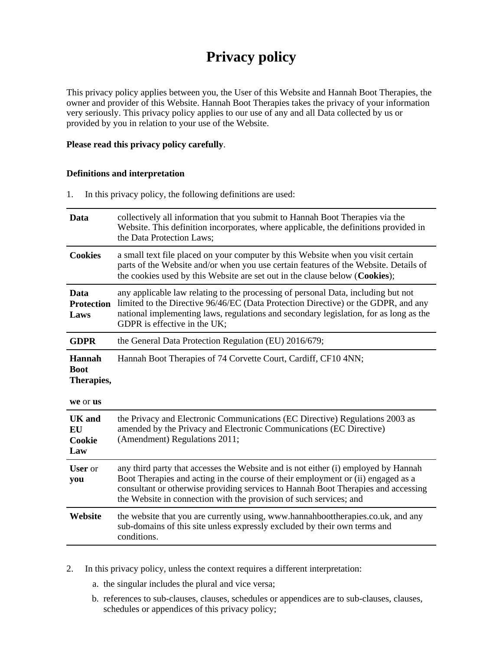# **Privacy policy**

This privacy policy applies between you, the User of this Website and Hannah Boot Therapies, the owner and provider of this Website. Hannah Boot Therapies takes the privacy of your information very seriously. This privacy policy applies to our use of any and all Data collected by us or provided by you in relation to your use of the Website.

# **Please read this privacy policy carefully**.

# **Definitions and interpretation**

1. In this privacy policy, the following definitions are used:

| Data                                            | collectively all information that you submit to Hannah Boot Therapies via the<br>Website. This definition incorporates, where applicable, the definitions provided in<br>the Data Protection Laws;                                                                                                                                |
|-------------------------------------------------|-----------------------------------------------------------------------------------------------------------------------------------------------------------------------------------------------------------------------------------------------------------------------------------------------------------------------------------|
| <b>Cookies</b>                                  | a small text file placed on your computer by this Website when you visit certain<br>parts of the Website and/or when you use certain features of the Website. Details of<br>the cookies used by this Website are set out in the clause below (Cookies);                                                                           |
| Data<br><b>Protection</b><br>Laws               | any applicable law relating to the processing of personal Data, including but not<br>limited to the Directive 96/46/EC (Data Protection Directive) or the GDPR, and any<br>national implementing laws, regulations and secondary legislation, for as long as the<br>GDPR is effective in the UK;                                  |
| <b>GDPR</b>                                     | the General Data Protection Regulation (EU) 2016/679;                                                                                                                                                                                                                                                                             |
| Hannah<br><b>Boot</b><br>Therapies,<br>we or us | Hannah Boot Therapies of 74 Corvette Court, Cardiff, CF10 4NN;                                                                                                                                                                                                                                                                    |
| UK and<br><b>EU</b><br>Cookie<br>Law            | the Privacy and Electronic Communications (EC Directive) Regulations 2003 as<br>amended by the Privacy and Electronic Communications (EC Directive)<br>(Amendment) Regulations 2011;                                                                                                                                              |
| <b>User</b> or<br>you                           | any third party that accesses the Website and is not either (i) employed by Hannah<br>Boot Therapies and acting in the course of their employment or (ii) engaged as a<br>consultant or otherwise providing services to Hannah Boot Therapies and accessing<br>the Website in connection with the provision of such services; and |
| Website                                         | the website that you are currently using, www.hannahboottherapies.co.uk, and any<br>sub-domains of this site unless expressly excluded by their own terms and<br>conditions.                                                                                                                                                      |

2. In this privacy policy, unless the context requires a different interpretation:

- a. the singular includes the plural and vice versa;
- b. references to sub-clauses, clauses, schedules or appendices are to sub-clauses, clauses, schedules or appendices of this privacy policy;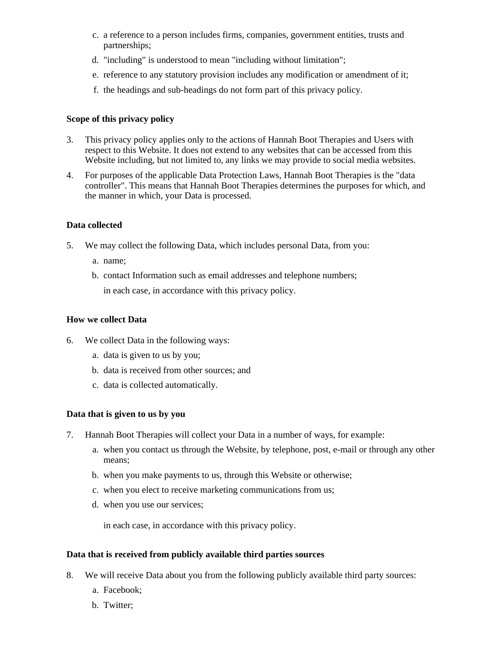- c. a reference to a person includes firms, companies, government entities, trusts and partnerships;
- d. "including" is understood to mean "including without limitation";
- e. reference to any statutory provision includes any modification or amendment of it;
- f. the headings and sub-headings do not form part of this privacy policy.

# **Scope of this privacy policy**

- 3. This privacy policy applies only to the actions of Hannah Boot Therapies and Users with respect to this Website. It does not extend to any websites that can be accessed from this Website including, but not limited to, any links we may provide to social media websites.
- 4. For purposes of the applicable Data Protection Laws, Hannah Boot Therapies is the "data controller". This means that Hannah Boot Therapies determines the purposes for which, and the manner in which, your Data is processed.

# **Data collected**

- 5. We may collect the following Data, which includes personal Data, from you:
	- a. name;
	- b. contact Information such as email addresses and telephone numbers;

in each case, in accordance with this privacy policy.

# **How we collect Data**

- 6. We collect Data in the following ways:
	- a. data is given to us by you;
	- b. data is received from other sources; and
	- c. data is collected automatically.

#### **Data that is given to us by you**

- 7. Hannah Boot Therapies will collect your Data in a number of ways, for example:
	- a. when you contact us through the Website, by telephone, post, e-mail or through any other means;
	- b. when you make payments to us, through this Website or otherwise;
	- c. when you elect to receive marketing communications from us;
	- d. when you use our services;

in each case, in accordance with this privacy policy.

#### **Data that is received from publicly available third parties sources**

- 8. We will receive Data about you from the following publicly available third party sources:
	- a. Facebook;
	- b. Twitter;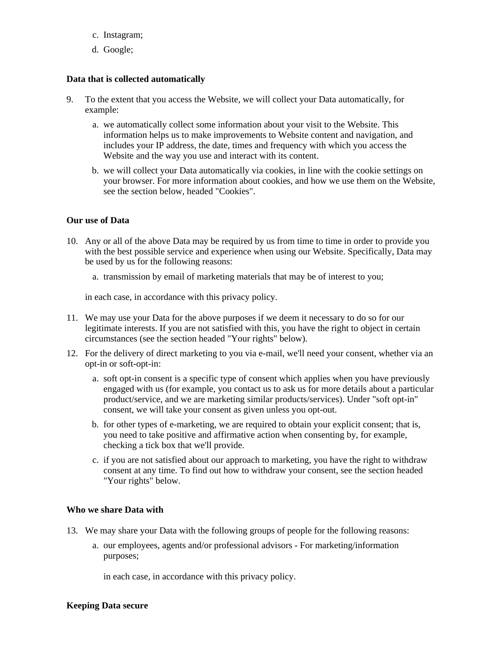- c. Instagram;
- d. Google;

# **Data that is collected automatically**

- 9. To the extent that you access the Website, we will collect your Data automatically, for example:
	- a. we automatically collect some information about your visit to the Website. This information helps us to make improvements to Website content and navigation, and includes your IP address, the date, times and frequency with which you access the Website and the way you use and interact with its content.
	- b. we will collect your Data automatically via cookies, in line with the cookie settings on your browser. For more information about cookies, and how we use them on the Website, see the section below, headed "Cookies".

#### **Our use of Data**

- 10. Any or all of the above Data may be required by us from time to time in order to provide you with the best possible service and experience when using our Website. Specifically, Data may be used by us for the following reasons:
	- a. transmission by email of marketing materials that may be of interest to you;

in each case, in accordance with this privacy policy.

- 11. We may use your Data for the above purposes if we deem it necessary to do so for our legitimate interests. If you are not satisfied with this, you have the right to object in certain circumstances (see the section headed "Your rights" below).
- 12. For the delivery of direct marketing to you via e-mail, we'll need your consent, whether via an opt-in or soft-opt-in:
	- a. soft opt-in consent is a specific type of consent which applies when you have previously engaged with us (for example, you contact us to ask us for more details about a particular product/service, and we are marketing similar products/services). Under "soft opt-in" consent, we will take your consent as given unless you opt-out.
	- b. for other types of e-marketing, we are required to obtain your explicit consent; that is, you need to take positive and affirmative action when consenting by, for example, checking a tick box that we'll provide.
	- c. if you are not satisfied about our approach to marketing, you have the right to withdraw consent at any time. To find out how to withdraw your consent, see the section headed "Your rights" below.

#### **Who we share Data with**

- 13. We may share your Data with the following groups of people for the following reasons:
	- a. our employees, agents and/or professional advisors For marketing/information purposes;

in each case, in accordance with this privacy policy.

#### **Keeping Data secure**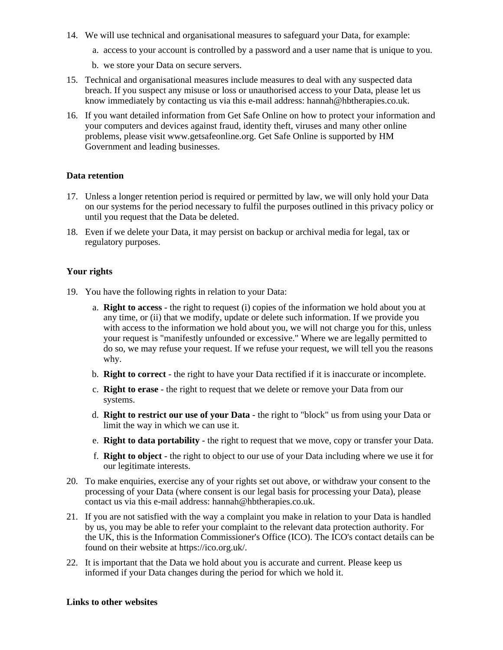- 14. We will use technical and organisational measures to safeguard your Data, for example:
	- a. access to your account is controlled by a password and a user name that is unique to you.
	- b. we store your Data on secure servers.
- 15. Technical and organisational measures include measures to deal with any suspected data breach. If you suspect any misuse or loss or unauthorised access to your Data, please let us know immediately by contacting us via this e-mail address: hannah@hbtherapies.co.uk.
- 16. If you want detailed information from Get Safe Online on how to protect your information and your computers and devices against fraud, identity theft, viruses and many other online problems, please visit www.getsafeonline.org. Get Safe Online is supported by HM Government and leading businesses.

#### **Data retention**

- 17. Unless a longer retention period is required or permitted by law, we will only hold your Data on our systems for the period necessary to fulfil the purposes outlined in this privacy policy or until you request that the Data be deleted.
- 18. Even if we delete your Data, it may persist on backup or archival media for legal, tax or regulatory purposes.

#### **Your rights**

- 19. You have the following rights in relation to your Data:
	- a. **Right to access** the right to request (i) copies of the information we hold about you at any time, or (ii) that we modify, update or delete such information. If we provide you with access to the information we hold about you, we will not charge you for this, unless your request is "manifestly unfounded or excessive." Where we are legally permitted to do so, we may refuse your request. If we refuse your request, we will tell you the reasons why.
	- b. **Right to correct** the right to have your Data rectified if it is inaccurate or incomplete.
	- c. **Right to erase** the right to request that we delete or remove your Data from our systems.
	- d. **Right to restrict our use of your Data** the right to "block" us from using your Data or limit the way in which we can use it.
	- e. **Right to data portability** the right to request that we move, copy or transfer your Data.
	- f. **Right to object** the right to object to our use of your Data including where we use it for our legitimate interests.
- 20. To make enquiries, exercise any of your rights set out above, or withdraw your consent to the processing of your Data (where consent is our legal basis for processing your Data), please contact us via this e-mail address: hannah@hbtherapies.co.uk.
- 21. If you are not satisfied with the way a complaint you make in relation to your Data is handled by us, you may be able to refer your complaint to the relevant data protection authority. For the UK, this is the Information Commissioner's Office (ICO). The ICO's contact details can be found on their website at https://ico.org.uk/.
- 22. It is important that the Data we hold about you is accurate and current. Please keep us informed if your Data changes during the period for which we hold it.

#### **Links to other websites**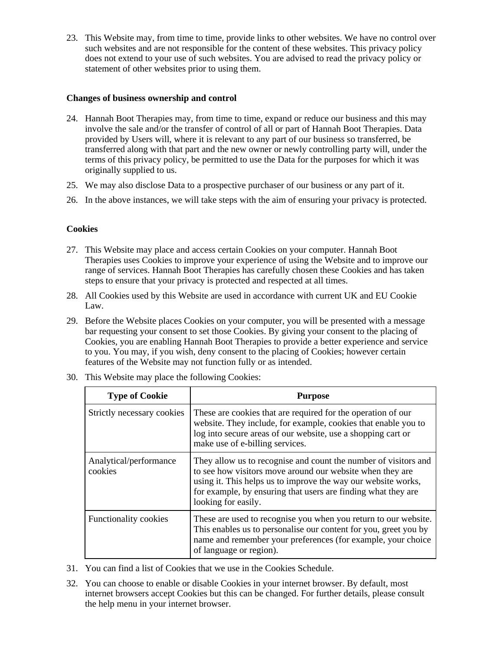23. This Website may, from time to time, provide links to other websites. We have no control over such websites and are not responsible for the content of these websites. This privacy policy does not extend to your use of such websites. You are advised to read the privacy policy or statement of other websites prior to using them.

## **Changes of business ownership and control**

- 24. Hannah Boot Therapies may, from time to time, expand or reduce our business and this may involve the sale and/or the transfer of control of all or part of Hannah Boot Therapies. Data provided by Users will, where it is relevant to any part of our business so transferred, be transferred along with that part and the new owner or newly controlling party will, under the terms of this privacy policy, be permitted to use the Data for the purposes for which it was originally supplied to us.
- 25. We may also disclose Data to a prospective purchaser of our business or any part of it.
- 26. In the above instances, we will take steps with the aim of ensuring your privacy is protected.

# **Cookies**

- 27. This Website may place and access certain Cookies on your computer. Hannah Boot Therapies uses Cookies to improve your experience of using the Website and to improve our range of services. Hannah Boot Therapies has carefully chosen these Cookies and has taken steps to ensure that your privacy is protected and respected at all times.
- 28. All Cookies used by this Website are used in accordance with current UK and EU Cookie Law.
- 29. Before the Website places Cookies on your computer, you will be presented with a message bar requesting your consent to set those Cookies. By giving your consent to the placing of Cookies, you are enabling Hannah Boot Therapies to provide a better experience and service to you. You may, if you wish, deny consent to the placing of Cookies; however certain features of the Website may not function fully or as intended.

| <b>Type of Cookie</b>             | <b>Purpose</b>                                                                                                                                                                                                                                                                        |
|-----------------------------------|---------------------------------------------------------------------------------------------------------------------------------------------------------------------------------------------------------------------------------------------------------------------------------------|
| Strictly necessary cookies        | These are cookies that are required for the operation of our<br>website. They include, for example, cookies that enable you to<br>log into secure areas of our website, use a shopping cart or<br>make use of e-billing services.                                                     |
| Analytical/performance<br>cookies | They allow us to recognise and count the number of visitors and<br>to see how visitors move around our website when they are<br>using it. This helps us to improve the way our website works,<br>for example, by ensuring that users are finding what they are<br>looking for easily. |
| Functionality cookies             | These are used to recognise you when you return to our website.<br>This enables us to personalise our content for you, greet you by<br>name and remember your preferences (for example, your choice<br>of language or region).                                                        |

30. This Website may place the following Cookies:

- 31. You can find a list of Cookies that we use in the Cookies Schedule.
- 32. You can choose to enable or disable Cookies in your internet browser. By default, most internet browsers accept Cookies but this can be changed. For further details, please consult the help menu in your internet browser.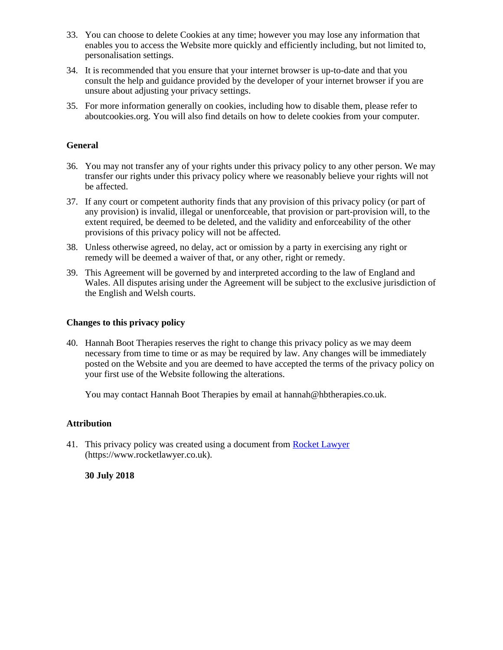- 33. You can choose to delete Cookies at any time; however you may lose any information that enables you to access the Website more quickly and efficiently including, but not limited to, personalisation settings.
- 34. It is recommended that you ensure that your internet browser is up-to-date and that you consult the help and guidance provided by the developer of your internet browser if you are unsure about adjusting your privacy settings.
- 35. For more information generally on cookies, including how to disable them, please refer to aboutcookies.org. You will also find details on how to delete cookies from your computer.

## **General**

- 36. You may not transfer any of your rights under this privacy policy to any other person. We may transfer our rights under this privacy policy where we reasonably believe your rights will not be affected.
- 37. If any court or competent authority finds that any provision of this privacy policy (or part of any provision) is invalid, illegal or unenforceable, that provision or part-provision will, to the extent required, be deemed to be deleted, and the validity and enforceability of the other provisions of this privacy policy will not be affected.
- 38. Unless otherwise agreed, no delay, act or omission by a party in exercising any right or remedy will be deemed a waiver of that, or any other, right or remedy.
- 39. This Agreement will be governed by and interpreted according to the law of England and Wales. All disputes arising under the Agreement will be subject to the exclusive jurisdiction of the English and Welsh courts.

## **Changes to this privacy policy**

40. Hannah Boot Therapies reserves the right to change this privacy policy as we may deem necessary from time to time or as may be required by law. Any changes will be immediately posted on the Website and you are deemed to have accepted the terms of the privacy policy on your first use of the Website following the alterations.

You may contact Hannah Boot Therapies by email at hannah@hbtherapies.co.uk.

#### **Attribution**

41. This privacy policy was created using a document from [Rocket Lawyer](https://www.rocketlawyer.co.uk/) (https://www.rocketlawyer.co.uk).

**30 July 2018**